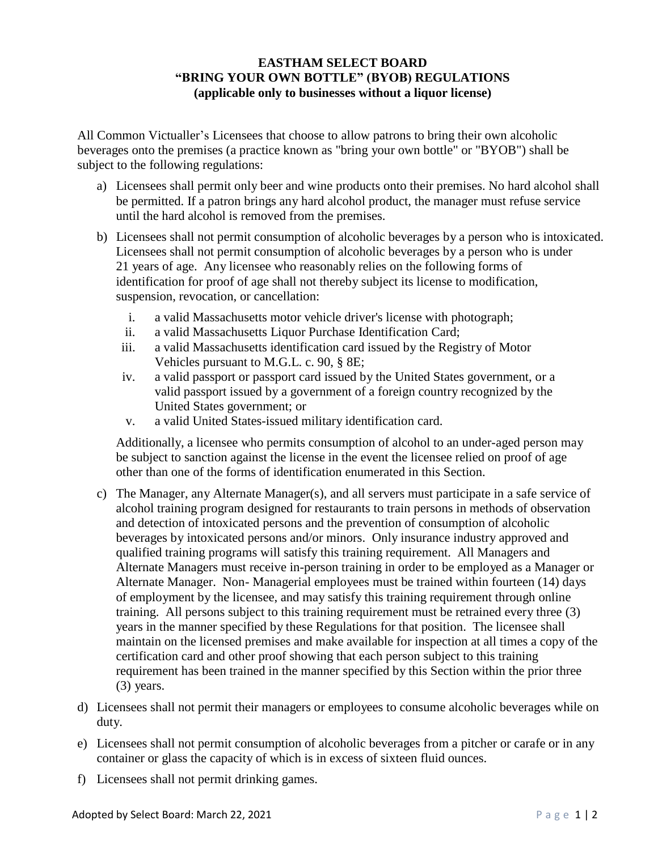## **EASTHAM SELECT BOARD "BRING YOUR OWN BOTTLE" (BYOB) REGULATIONS (applicable only to businesses without a liquor license)**

All Common Victualler's Licensees that choose to allow patrons to bring their own alcoholic beverages onto the premises (a practice known as "bring your own bottle" or "BYOB") shall be subject to the following regulations:

- a) Licensees shall permit only beer and wine products onto their premises. No hard alcohol shall be permitted. If a patron brings any hard alcohol product, the manager must refuse service until the hard alcohol is removed from the premises.
- b) Licensees shall not permit consumption of alcoholic beverages by a person who is intoxicated. Licensees shall not permit consumption of alcoholic beverages by a person who is under 21 years of age. Any licensee who reasonably relies on the following forms of identification for proof of age shall not thereby subject its license to modification, suspension, revocation, or cancellation:
	- i. a valid Massachusetts motor vehicle driver's license with photograph;
	- ii. a valid Massachusetts Liquor Purchase Identification Card;
	- iii. a valid Massachusetts identification card issued by the Registry of Motor Vehicles pursuant to M.G.L. c. 90, § 8E;
	- iv. a valid passport or passport card issued by the United States government, or a valid passport issued by a government of a foreign country recognized by the United States government; or
	- v. a valid United States-issued military identification card.

Additionally, a licensee who permits consumption of alcohol to an under-aged person may be subject to sanction against the license in the event the licensee relied on proof of age other than one of the forms of identification enumerated in this Section.

- c) The Manager, any Alternate Manager(s), and all servers must participate in a safe service of alcohol training program designed for restaurants to train persons in methods of observation and detection of intoxicated persons and the prevention of consumption of alcoholic beverages by intoxicated persons and/or minors. Only insurance industry approved and qualified training programs will satisfy this training requirement. All Managers and Alternate Managers must receive in-person training in order to be employed as a Manager or Alternate Manager. Non- Managerial employees must be trained within fourteen (14) days of employment by the licensee, and may satisfy this training requirement through online training. All persons subject to this training requirement must be retrained every three (3) years in the manner specified by these Regulations for that position. The licensee shall maintain on the licensed premises and make available for inspection at all times a copy of the certification card and other proof showing that each person subject to this training requirement has been trained in the manner specified by this Section within the prior three (3) years.
- d) Licensees shall not permit their managers or employees to consume alcoholic beverages while on duty.
- e) Licensees shall not permit consumption of alcoholic beverages from a pitcher or carafe or in any container or glass the capacity of which is in excess of sixteen fluid ounces.
- f) Licensees shall not permit drinking games.